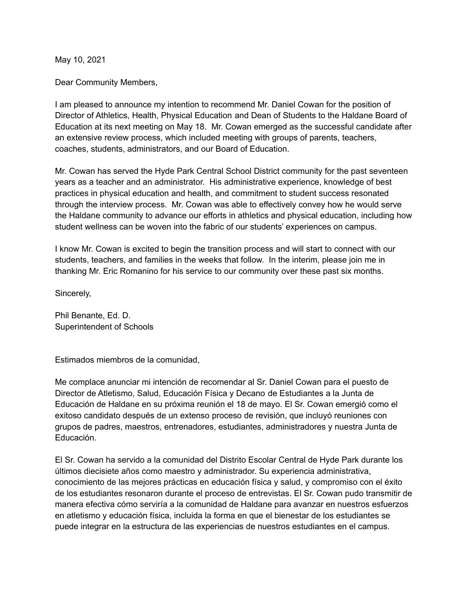May 10, 2021

Dear Community Members,

I am pleased to announce my intention to recommend Mr. Daniel Cowan for the position of Director of Athletics, Health, Physical Education and Dean of Students to the Haldane Board of Education at its next meeting on May 18. Mr. Cowan emerged as the successful candidate after an extensive review process, which included meeting with groups of parents, teachers, coaches, students, administrators, and our Board of Education.

Mr. Cowan has served the Hyde Park Central School District community for the past seventeen years as a teacher and an administrator. His administrative experience, knowledge of best practices in physical education and health, and commitment to student success resonated through the interview process. Mr. Cowan was able to effectively convey how he would serve the Haldane community to advance our efforts in athletics and physical education, including how student wellness can be woven into the fabric of our students' experiences on campus.

I know Mr. Cowan is excited to begin the transition process and will start to connect with our students, teachers, and families in the weeks that follow. In the interim, please join me in thanking Mr. Eric Romanino for his service to our community over these past six months.

Sincerely,

Phil Benante, Ed. D. Superintendent of Schools

Estimados miembros de la comunidad,

Me complace anunciar mi intención de recomendar al Sr. Daniel Cowan para el puesto de Director de Atletismo, Salud, Educación Física y Decano de Estudiantes a la Junta de Educación de Haldane en su próxima reunión el 18 de mayo. El Sr. Cowan emergió como el exitoso candidato después de un extenso proceso de revisión, que incluyó reuniones con grupos de padres, maestros, entrenadores, estudiantes, administradores y nuestra Junta de Educación.

El Sr. Cowan ha servido a la comunidad del Distrito Escolar Central de Hyde Park durante los últimos diecisiete años como maestro y administrador. Su experiencia administrativa, conocimiento de las mejores prácticas en educación física y salud, y compromiso con el éxito de los estudiantes resonaron durante el proceso de entrevistas. El Sr. Cowan pudo transmitir de manera efectiva cómo serviría a la comunidad de Haldane para avanzar en nuestros esfuerzos en atletismo y educación física, incluida la forma en que el bienestar de los estudiantes se puede integrar en la estructura de las experiencias de nuestros estudiantes en el campus.